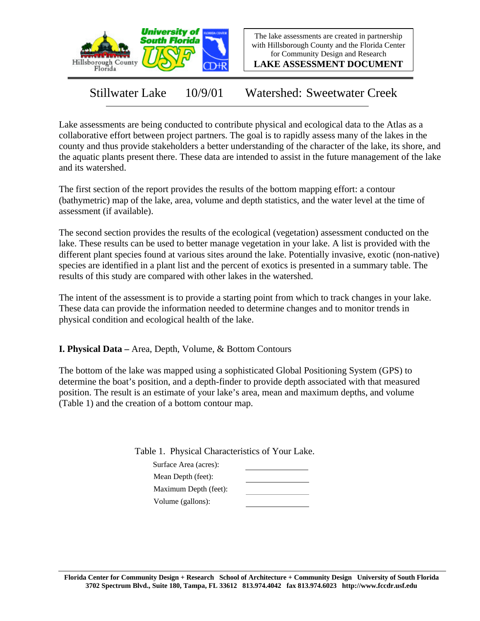

The lake assessments are created in partnership with Hillsborough County and the Florida Center for Community Design and Research

**LAKE ASSESSMENT DOCUMENT**

Stillwater Lake 10/9/01 Watershed: Sweetwater Creek

Lake assessments are being conducted to contribute physical and ecological data to the Atlas as a collaborative effort between project partners. The goal is to rapidly assess many of the lakes in the county and thus provide stakeholders a better understanding of the character of the lake, its shore, and the aquatic plants present there. These data are intended to assist in the future management of the lake and its watershed.

The first section of the report provides the results of the bottom mapping effort: a contour (bathymetric) map of the lake, area, volume and depth statistics, and the water level at the time of assessment (if available).

The second section provides the results of the ecological (vegetation) assessment conducted on the lake. These results can be used to better manage vegetation in your lake. A list is provided with the different plant species found at various sites around the lake. Potentially invasive, exotic (non-native) species are identified in a plant list and the percent of exotics is presented in a summary table. The results of this study are compared with other lakes in the watershed.

The intent of the assessment is to provide a starting point from which to track changes in your lake. These data can provide the information needed to determine changes and to monitor trends in physical condition and ecological health of the lake.

**I. Physical Data –** Area, Depth, Volume, & Bottom Contours

The bottom of the lake was mapped using a sophisticated Global Positioning System (GPS) to determine the boat's position, and a depth-finder to provide depth associated with that measured position. The result is an estimate of your lake's area, mean and maximum depths, and volume (Table 1) and the creation of a bottom contour map.

Table 1. Physical Characteristics of Your Lake.

| Surface Area (acres): |  |
|-----------------------|--|
| Mean Depth (feet):    |  |
| Maximum Depth (feet): |  |
| Volume (gallons):     |  |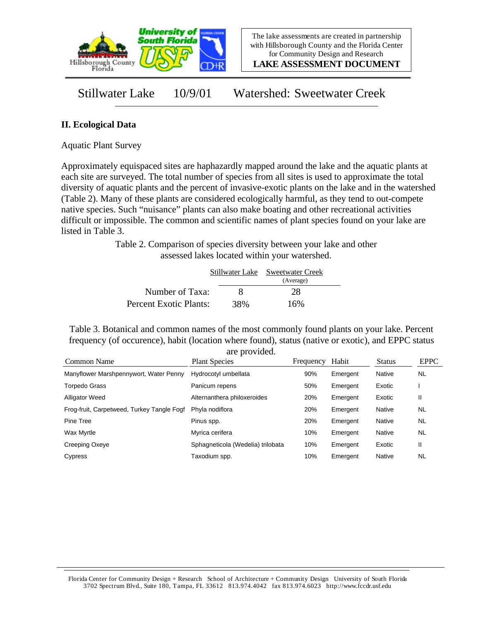

**LAKE ASSESSMENT DOCUMENT**

Stillwater Lake 10/9/01 Watershed: Sweetwater Creek

## **II. Ecological Data**

Aquatic Plant Survey

Approximately equispaced sites are haphazardly mapped around the lake and the aquatic plants at each site are surveyed. The total number of species from all sites is used to approximate the total diversity of aquatic plants and the percent of invasive-exotic plants on the lake and in the watershed (Table 2). Many of these plants are considered ecologically harmful, as they tend to out-compete native species. Such "nuisance" plants can also make boating and other recreational activities difficult or impossible. The common and scientific names of plant species found on your lake are listed in Table 3.

> Table 2. Comparison of species diversity between your lake and other assessed lakes located within your watershed.

|                        |     | Stillwater Lake Sweetwater Creek |  |
|------------------------|-----|----------------------------------|--|
|                        |     | (Average)                        |  |
| Number of Taxa:        | x   | 28                               |  |
| Percent Exotic Plants: | 38% | 16%                              |  |

Table 3. Botanical and common names of the most commonly found plants on your lake. Percent frequency (of occurence), habit (location where found), status (native or exotic), and EPPC status are provided.

| Common Name                                | <b>Plant Species</b>              | Frequency | Habit    | <b>Status</b> | <b>EPPC</b> |
|--------------------------------------------|-----------------------------------|-----------|----------|---------------|-------------|
| Manyflower Marshpennywort, Water Penny     | Hydrocotyl umbellata              | 90%       | Emergent | Native        | <b>NL</b>   |
| <b>Torpedo Grass</b>                       | Panicum repens                    | 50%       | Emergent | Exotic        |             |
| <b>Alligator Weed</b>                      | Alternanthera philoxeroides       | 20%       | Emergent | Exotic        | Ш           |
| Frog-fruit, Carpetweed, Turkey Tangle Fogf | Phyla nodiflora                   | 20%       | Emergent | Native        | <b>NL</b>   |
| Pine Tree                                  | Pinus spp.                        | 20%       | Emergent | Native        | <b>NL</b>   |
| Wax Myrtle                                 | Myrica cerifera                   | 10%       | Emergent | Native        | <b>NL</b>   |
| Creeping Oxeye                             | Sphagneticola (Wedelia) trilobata | 10%       | Emergent | Exotic        | Ш           |
| Cypress                                    | Taxodium spp.                     | 10%       | Emergent | Native        | NL          |